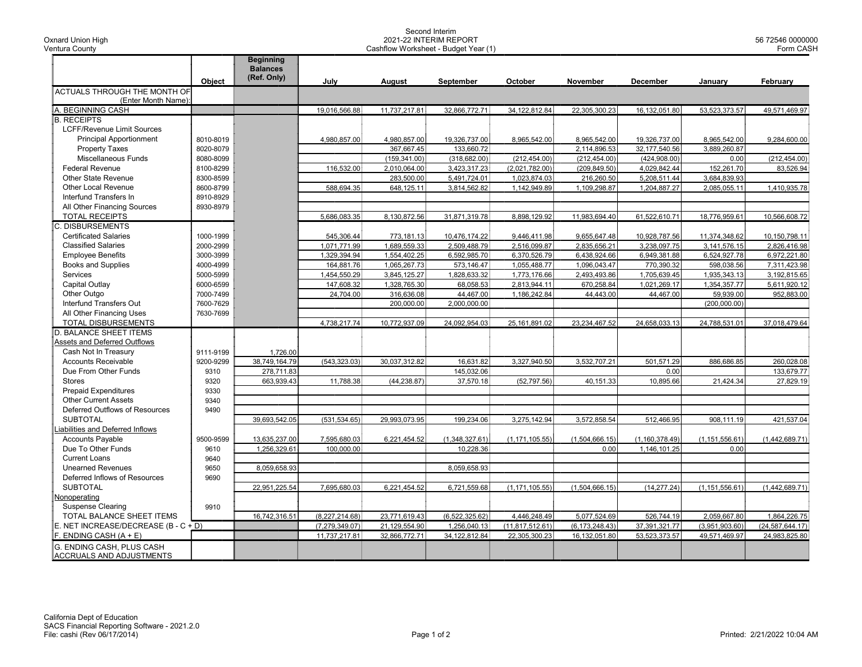Oxnard Union High Ventura County

## Second Interim 2021-22 INTERIM REPORT Cashflow Worksheet - Budget Year (1)

|                                                              |           | <b>Beginning</b><br><b>Balances</b> |                  |               |                  |                  |                  |                  |                  |                 |
|--------------------------------------------------------------|-----------|-------------------------------------|------------------|---------------|------------------|------------------|------------------|------------------|------------------|-----------------|
|                                                              | Object    | (Ref. Only)                         | July             | August        | September        | October          | November         | December         | Januarv          | February        |
| ACTUALS THROUGH THE MONTH OF                                 |           |                                     |                  |               |                  |                  |                  |                  |                  |                 |
| (Enter Month Name):                                          |           |                                     |                  |               |                  |                  |                  |                  |                  |                 |
| A. BEGINNING CASH                                            |           |                                     | 19,016,566.88    | 11,737,217.81 | 32,866,772.71    | 34, 122, 812.84  | 22,305,300.23    | 16,132,051.80    | 53,523,373.57    | 49,571,469.97   |
| <b>B. RECEIPTS</b>                                           |           |                                     |                  |               |                  |                  |                  |                  |                  |                 |
| <b>LCFF/Revenue Limit Sources</b>                            |           |                                     |                  |               |                  |                  |                  |                  |                  |                 |
| <b>Principal Apportionment</b>                               | 8010-8019 |                                     | 4,980,857.00     | 4,980,857.00  | 19,326,737.00    | 8,965,542.00     | 8,965,542.00     | 19,326,737.00    | 8,965,542.00     | 9,284,600.00    |
| <b>Property Taxes</b>                                        | 8020-8079 |                                     |                  | 367,667.45    | 133,660.72       |                  | 2,114,896.53     | 32,177,540.56    | 3,889,260.87     |                 |
| Miscellaneous Funds                                          | 8080-8099 |                                     |                  | (159, 341.00) | (318, 682.00)    | (212, 454.00)    | (212, 454.00)    | (424, 908.00)    | 0.00             | (212, 454.00)   |
| <b>Federal Revenue</b>                                       | 8100-8299 |                                     | 116,532.00       | 2,010,064.00  | 3,423,317.23     | (2,021,782.00)   | (209, 849.50)    | 4,029,842.44     | 152,261.70       | 83,526.94       |
| Other State Revenue                                          | 8300-8599 |                                     |                  | 283,500.00    | 5,491,724.01     | 1,023,874.03     | 216,260.50       | 5,208,511.44     | 3,684,839.93     |                 |
| <b>Other Local Revenue</b>                                   | 8600-8799 |                                     | 588,694.35       | 648,125.11    | 3,814,562.82     | 1,142,949.89     | 1,109,298.87     | 1,204,887.27     | 2,085,055.11     | 1,410,935.78    |
| Interfund Transfers In                                       | 8910-8929 |                                     |                  |               |                  |                  |                  |                  |                  |                 |
| All Other Financing Sources                                  | 8930-8979 |                                     |                  |               |                  |                  |                  |                  |                  |                 |
| <b>TOTAL RECEIPTS</b>                                        |           |                                     | 5,686,083.35     | 8,130,872.56  | 31,871,319.78    | 8,898,129.92     | 11,983,694.40    | 61,522,610.71    | 18,776,959.61    | 10,566,608.72   |
| C. DISBURSEMENTS                                             |           |                                     |                  |               |                  |                  |                  |                  |                  |                 |
| <b>Certificated Salaries</b>                                 | 1000-1999 |                                     | 545,306.44       | 773.181.13    | 10.476.174.22    | 9,446,411.98     | 9,655,647.48     | 10.928.787.56    | 11,374,348.62    | 10.150.798.11   |
| <b>Classified Salaries</b>                                   | 2000-2999 |                                     | 1,071,771.99     | 1,689,559.33  | 2,509,488.79     | 2,516,099.87     | 2,835,656.21     | 3,238,097.75     | 3,141,576.15     | 2,826,416.98    |
| <b>Employee Benefits</b>                                     | 3000-3999 |                                     | 1,329,394.94     | 1,554,402.25  | 6,592,985.70     | 6,370,526.79     | 6,438,924.66     | 6,949,381.88     | 6,524,927.78     | 6,972,221.80    |
| <b>Books and Supplies</b>                                    | 4000-4999 |                                     | 164,881.76       | 1,065,267.73  | 573,146.47       | 1,055,488.77     | 1,096,043.47     | 770,390.32       | 598,038.56       | 7,311,423.98    |
| Services                                                     | 5000-5999 |                                     | 1,454,550.29     | 3,845,125.27  | 1,828,633.32     | 1,773,176.66     | 2,493,493.86     | 1,705,639.45     | 1,935,343.13     | 3,192,815.65    |
| Capital Outlay                                               | 6000-6599 |                                     | 147,608.32       | 1,328,765.30  | 68,058.53        | 2,813,944.11     | 670,258.84       | 1,021,269.17     | 1,354,357.77     | 5,611,920.12    |
| Other Outgo                                                  | 7000-7499 |                                     | 24,704.00        | 316,636.08    | 44,467.00        | 1,186,242.84     | 44,443.00        | 44,467.00        | 59,939.00        | 952,883.00      |
| Interfund Transfers Out                                      | 7600-7629 |                                     |                  | 200,000.00    | 2,000,000.00     |                  |                  |                  | (200,000.00)     |                 |
| All Other Financing Uses                                     | 7630-7699 |                                     |                  |               |                  |                  |                  |                  |                  |                 |
| TOTAL DISBURSEMENTS                                          |           |                                     | 4,738,217.74     | 10,772,937.09 | 24,092,954.03    | 25, 161, 891.02  | 23,234,467.52    | 24.658.033.13    | 24,788,531.01    | 37.018.479.64   |
| D. BALANCE SHEET ITEMS                                       |           |                                     |                  |               |                  |                  |                  |                  |                  |                 |
| Assets and Deferred Outflows                                 |           |                                     |                  |               |                  |                  |                  |                  |                  |                 |
| Cash Not In Treasury                                         | 9111-9199 | 1,726.00                            |                  |               |                  |                  |                  |                  |                  |                 |
| <b>Accounts Receivable</b>                                   | 9200-9299 | 38,749,164.79                       | (543, 323.03)    | 30,037,312.82 | 16,631.82        | 3,327,940.50     | 3,532,707.21     | 501,571.29       | 886,686.85       | 260,028.08      |
| Due From Other Funds                                         | 9310      | 278.711.83                          |                  |               | 145,032.06       |                  |                  | 0.00             |                  | 133,679.77      |
| <b>Stores</b>                                                | 9320      | 663,939.43                          | 11,788.38        | (44, 238.87)  | 37,570.18        | (52,797.56)      | 40,151.33        | 10,895.66        | 21,424.34        | 27,829.19       |
| <b>Prepaid Expenditures</b>                                  | 9330      |                                     |                  |               |                  |                  |                  |                  |                  |                 |
| <b>Other Current Assets</b>                                  | 9340      |                                     |                  |               |                  |                  |                  |                  |                  |                 |
| Deferred Outflows of Resources                               | 9490      |                                     |                  |               |                  |                  |                  |                  |                  |                 |
| <b>SUBTOTAL</b>                                              |           | 39,693,542.05                       | (531, 534.65)    | 29,993,073.95 | 199,234.06       | 3,275,142.94     | 3,572,858.54     | 512,466.95       | 908,111.19       | 421,537.04      |
| iabilities and Deferred Inflows                              |           |                                     |                  |               |                  |                  |                  |                  |                  |                 |
| <b>Accounts Payable</b>                                      | 9500-9599 | 13,635,237.00                       | 7,595,680.03     | 6,221,454.52  | (1,348,327.61)   | (1, 171, 105.55) | (1,504,666.15)   | (1, 160, 378.49) | (1, 151, 556.61) | (1,442,689.71)  |
| Due To Other Funds                                           | 9610      | 1,256,329.61                        | 100,000.00       |               | 10,228.36        |                  | 0.00             | 1,146,101.25     | 0.00             |                 |
| <b>Current Loans</b>                                         | 9640      |                                     |                  |               |                  |                  |                  |                  |                  |                 |
| <b>Unearned Revenues</b>                                     | 9650      | 8,059,658.93                        |                  |               | 8,059,658.93     |                  |                  |                  |                  |                 |
| Deferred Inflows of Resources                                | 9690      |                                     |                  |               |                  |                  |                  |                  |                  |                 |
| <b>SUBTOTAL</b>                                              |           | 22,951,225.54                       | 7,695,680.03     | 6,221,454.52  | 6,721,559.68     | (1, 171, 105.55) | (1,504,666.15)   | (14, 277.24)     | (1, 151, 556.61) | (1,442,689.71)  |
| Nonoperating                                                 |           |                                     |                  |               |                  |                  |                  |                  |                  |                 |
| <b>Suspense Clearing</b>                                     | 9910      |                                     |                  |               |                  |                  |                  |                  |                  |                 |
| TOTAL BALANCE SHEET ITEMS                                    |           | 16,742,316.51                       | (8,227,214.68)   | 23,771,619.43 | (6, 522, 325.62) | 4,446,248.49     | 5,077,524.69     | 526,744.19       | 2,059,667.80     | 1,864,226.75    |
| E. NET INCREASE/DECREASE (B - C + D)                         |           |                                     | (7, 279, 349.07) | 21,129,554.90 | 1,256,040.13     | (11.817.512.61)  | (6, 173, 248.43) | 37.391.321.77    | (3.951.903.60)   | (24.587.644.17) |
| F. ENDING CASH $(A + E)$                                     |           |                                     | 11,737,217.81    | 32,866,772.71 | 34,122,812.84    | 22,305,300.23    | 16,132,051.80    | 53,523,373.57    | 49,571,469.97    | 24,983,825.80   |
| G. ENDING CASH. PLUS CASH<br><b>ACCRUALS AND ADJUSTMENTS</b> |           |                                     |                  |               |                  |                  |                  |                  |                  |                 |